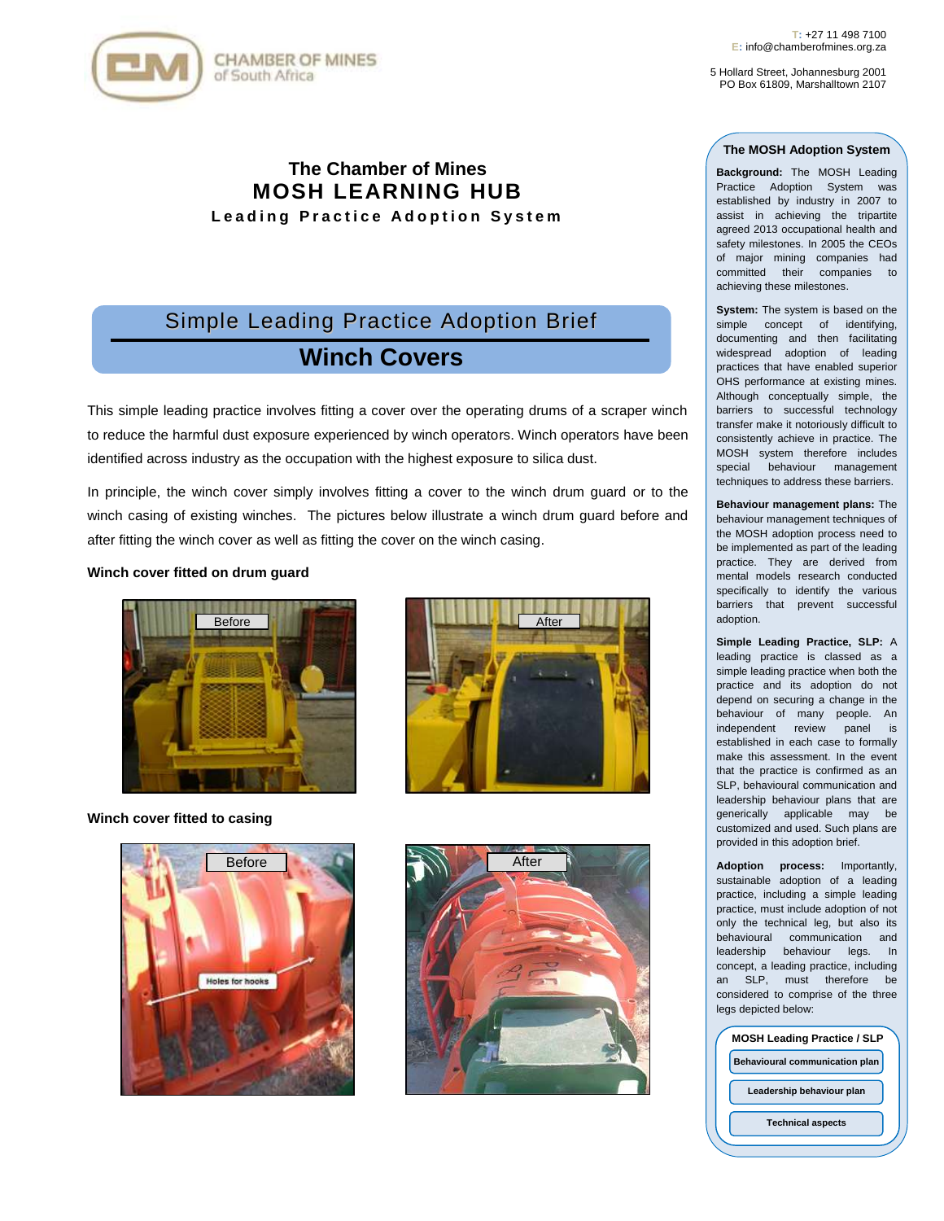

5 Hollard Street, Johannesburg 2001 PO Box 61809, Marshalltown 2107

## **The MOSH Adoption System**

**Background:** The MOSH Leading Practice Adoption System was established by industry in 2007 to assist in achieving the tripartite agreed 2013 occupational health and safety milestones. In 2005 the CEOs of major mining companies had committed their companies to achieving these milestones.

**System:** The system is based on the simple concept of identifying, documenting and then facilitating widespread adoption of leading practices that have enabled superior OHS performance at existing mines. Although conceptually simple, the barriers to successful technology transfer make it notoriously difficult to consistently achieve in practice. The MOSH system therefore includes special behaviour management techniques to address these barriers.

**Behaviour management plans:** The behaviour management techniques of the MOSH adoption process need to be implemented as part of the leading practice. They are derived from mental models research conducted specifically to identify the various barriers that prevent successful adoption.

**Simple Leading Practice, SLP:** A leading practice is classed as a simple leading practice when both the practice and its adoption do not depend on securing a change in the behaviour of many people. An independent review panel is established in each case to formally make this assessment. In the event that the practice is confirmed as an SLP, behavioural communication and leadership behaviour plans that are generically applicable may be customized and used. Such plans are provided in this adoption brief.

**Adoption process:** Importantly, sustainable adoption of a leading practice, including a simple leading practice, must include adoption of not only the technical leg, but also its behavioural communication and leadership behaviour legs. In concept, a leading practice, including an SLP, must therefore be considered to comprise of the three legs depicted below:

| <b>MOSH Leading Practice / SLP</b>    |  |
|---------------------------------------|--|
| <b>Behavioural communication plan</b> |  |
| Leadership behaviour plan             |  |
| <b>Technical aspects</b>              |  |
|                                       |  |

**The Chamber of Mines MOSH LEARNING HUB Leading Practice Adoption System** 

# Simple Leading Practice Adoption Brief **Winch Covers**

This simple leading practice involves fitting a cover over the operating drums of a scraper winch to reduce the harmful dust exposure experienced by winch operators. Winch operators have been identified across industry as the occupation with the highest exposure to silica dust.

In principle, the winch cover simply involves fitting a cover to the winch drum guard or to the winch casing of existing winches. The pictures below illustrate a winch drum guard before and after fitting the winch cover as well as fitting the cover on the winch casing.

## **Winch cover fitted on drum guard**



**Winch cover fitted to casing**



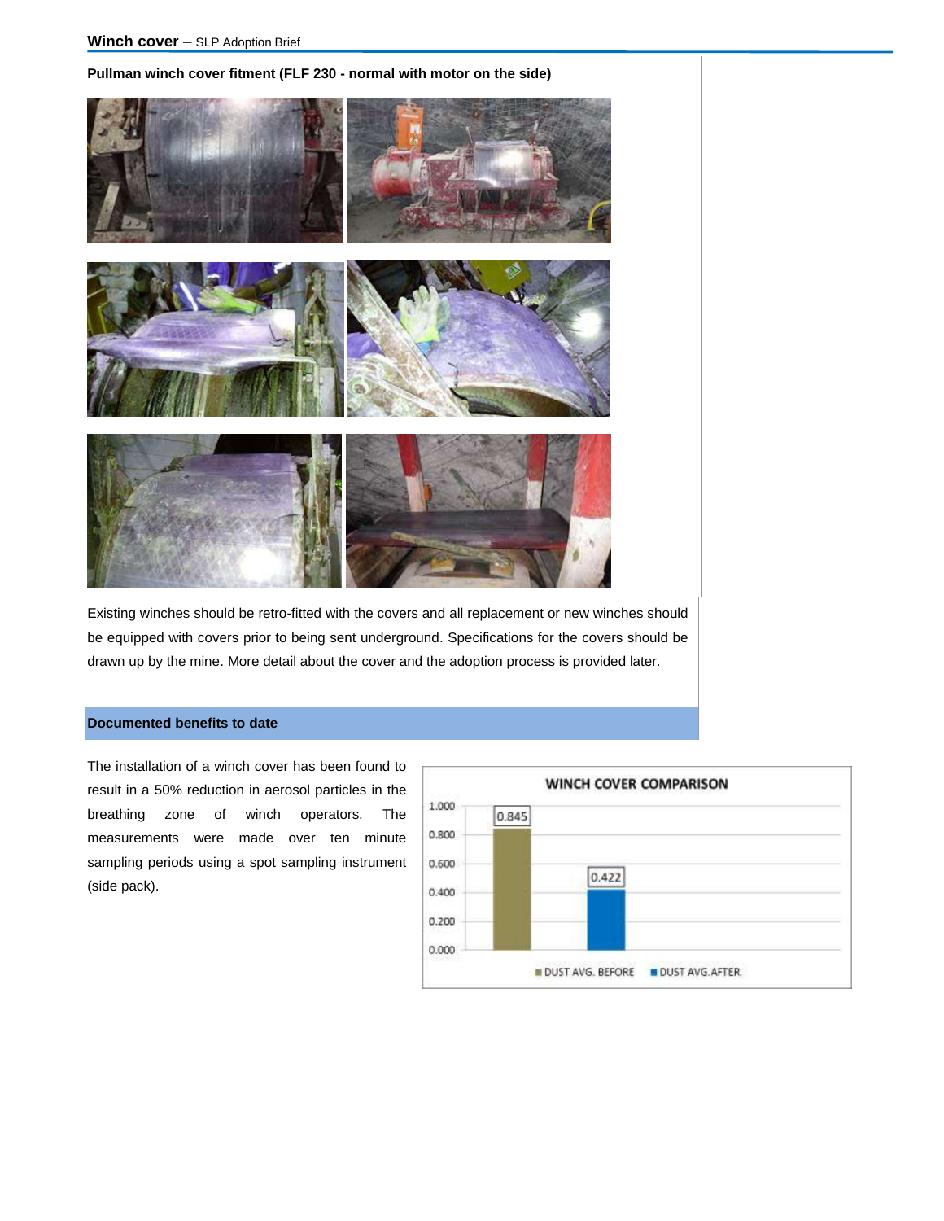# **Pullman winch cover fitment (FLF 230 - normal with motor on the side)**



Existing winches should be retro-fitted with the covers and all replacement or new winches should be equipped with covers prior to being sent underground. Specifications for the covers should be drawn up by the mine. More detail about the cover and the adoption process is provided later.

# **Documented benefits to date**

The installation of a winch cover has been found to result in a 50% reduction in aerosol particles in the breathing zone of winch operators. The measurements were made over ten minute sampling periods using a spot sampling instrument (side pack).

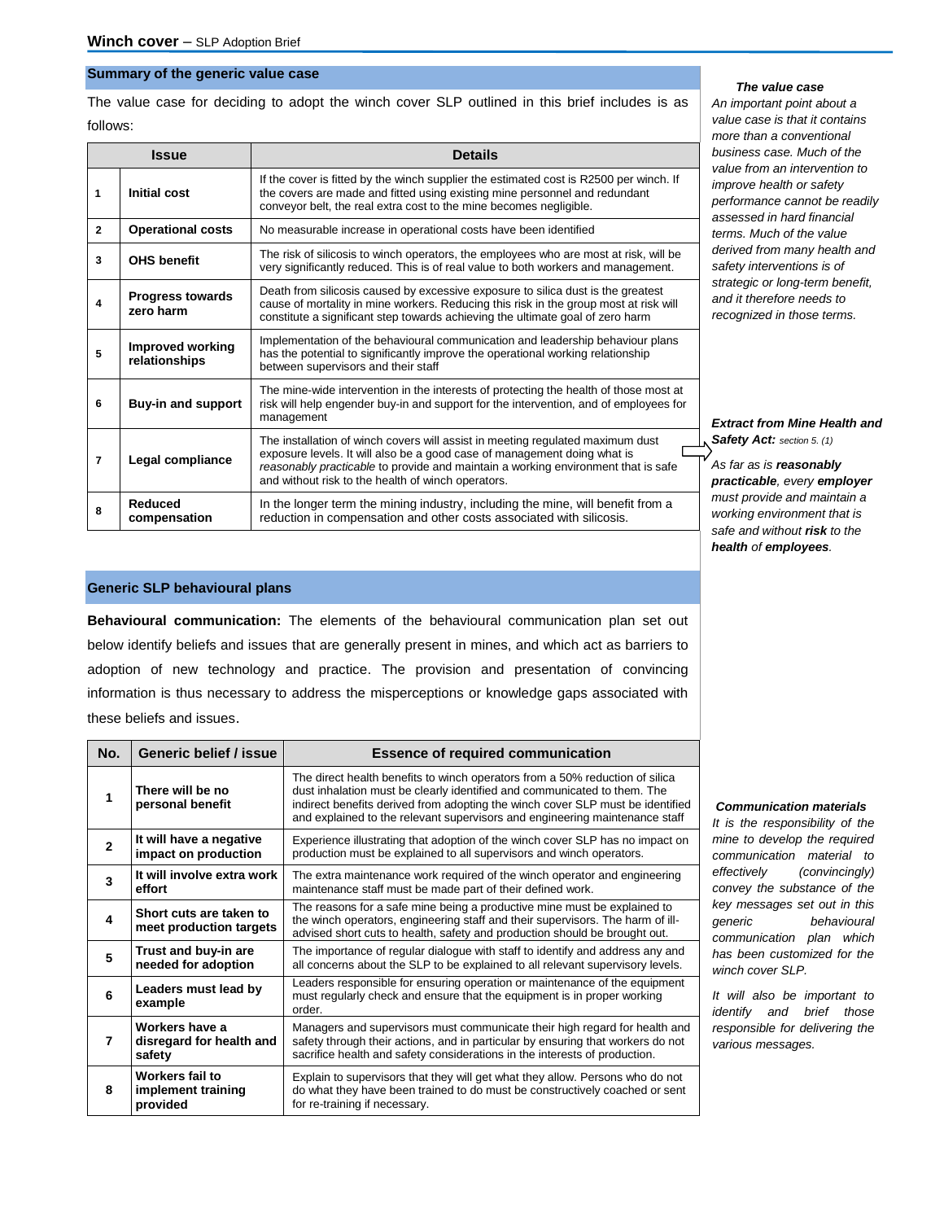## **Summary of the generic value case**

The value case for deciding to adopt the winch cover SLP outlined in this brief includes is as follows:

| <b>Issue</b>   |                                                                                                                                                                                                                                                                                                     | <b>Details</b>                                                                                                                                                                                                                                                                                        |  |
|----------------|-----------------------------------------------------------------------------------------------------------------------------------------------------------------------------------------------------------------------------------------------------------------------------------------------------|-------------------------------------------------------------------------------------------------------------------------------------------------------------------------------------------------------------------------------------------------------------------------------------------------------|--|
| 1              | <b>Initial cost</b>                                                                                                                                                                                                                                                                                 | If the cover is fitted by the winch supplier the estimated cost is R2500 per winch. If<br>the covers are made and fitted using existing mine personnel and redundant<br>conveyor belt, the real extra cost to the mine becomes negligible.                                                            |  |
| $\overline{2}$ | <b>Operational costs</b>                                                                                                                                                                                                                                                                            | No measurable increase in operational costs have been identified                                                                                                                                                                                                                                      |  |
| 3              | <b>OHS benefit</b>                                                                                                                                                                                                                                                                                  | The risk of silicosis to winch operators, the employees who are most at risk, will be<br>very significantly reduced. This is of real value to both workers and management.                                                                                                                            |  |
| 4              | Death from silicosis caused by excessive exposure to silica dust is the greatest<br><b>Progress towards</b><br>cause of mortality in mine workers. Reducing this risk in the group most at risk will<br>zero harm<br>constitute a significant step towards achieving the ultimate goal of zero harm |                                                                                                                                                                                                                                                                                                       |  |
| 5              | <b>Improved working</b><br>relationships                                                                                                                                                                                                                                                            | Implementation of the behavioural communication and leadership behaviour plans<br>has the potential to significantly improve the operational working relationship<br>between supervisors and their staff                                                                                              |  |
| 6              | <b>Buy-in and support</b>                                                                                                                                                                                                                                                                           | The mine-wide intervention in the interests of protecting the health of those most at<br>risk will help engender buy-in and support for the intervention, and of employees for<br>management                                                                                                          |  |
| $\overline{7}$ | Legal compliance                                                                                                                                                                                                                                                                                    | The installation of winch covers will assist in meeting regulated maximum dust<br>exposure levels. It will also be a good case of management doing what is<br>reasonably practicable to provide and maintain a working environment that is safe<br>and without risk to the health of winch operators. |  |
| 8              | Reduced<br>compensation                                                                                                                                                                                                                                                                             | In the longer term the mining industry, including the mine, will benefit from a<br>reduction in compensation and other costs associated with silicosis.                                                                                                                                               |  |

# **Generic SLP behavioural plans**

**Behavioural communication:** The elements of the behavioural communication plan set out below identify beliefs and issues that are generally present in mines, and which act as barriers to adoption of new technology and practice. The provision and presentation of convincing information is thus necessary to address the misperceptions or knowledge gaps associated with these beliefs and issues.

| No.                                       | Generic belief / issue                               | <b>Essence of required communication</b>                                                                                                                                                                                                                                                                                  |  |
|-------------------------------------------|------------------------------------------------------|---------------------------------------------------------------------------------------------------------------------------------------------------------------------------------------------------------------------------------------------------------------------------------------------------------------------------|--|
| There will be no<br>1<br>personal benefit |                                                      | The direct health benefits to winch operators from a 50% reduction of silica<br>dust inhalation must be clearly identified and communicated to them. The<br>indirect benefits derived from adopting the winch cover SLP must be identified<br>and explained to the relevant supervisors and engineering maintenance staff |  |
| $\mathbf{2}$                              | It will have a negative<br>impact on production      | Experience illustrating that adoption of the winch cover SLP has no impact on<br>production must be explained to all supervisors and winch operators.                                                                                                                                                                     |  |
| 3                                         | It will involve extra work<br>effort                 | The extra maintenance work required of the winch operator and engineering<br>maintenance staff must be made part of their defined work.                                                                                                                                                                                   |  |
| 4                                         | Short cuts are taken to<br>meet production targets   | The reasons for a safe mine being a productive mine must be explained to<br>the winch operators, engineering staff and their supervisors. The harm of ill-<br>advised short cuts to health, safety and production should be brought out.                                                                                  |  |
| 5                                         | Trust and buy-in are<br>needed for adoption          | The importance of regular dialogue with staff to identify and address any and<br>all concerns about the SLP to be explained to all relevant supervisory levels.                                                                                                                                                           |  |
| 6                                         | Leaders must lead by<br>example                      | Leaders responsible for ensuring operation or maintenance of the equipment<br>must regularly check and ensure that the equipment is in proper working<br>order.                                                                                                                                                           |  |
| 7                                         | Workers have a<br>disregard for health and<br>safety | Managers and supervisors must communicate their high regard for health and<br>safety through their actions, and in particular by ensuring that workers do not<br>sacrifice health and safety considerations in the interests of production.                                                                               |  |
| 8                                         | Workers fail to<br>implement training<br>provided    | Explain to supervisors that they will get what they allow. Persons who do not<br>do what they have been trained to do must be constructively coached or sent<br>for re-training if necessary.                                                                                                                             |  |

## *The value case*

*An important point about a value case is that it contains more than a conventional business case. Much of the value from an intervention to improve health or safety performance cannot be readily assessed in hard financial terms. Much of the value derived from many health and safety interventions is of strategic or long-term benefit, and it therefore needs to recognized in those terms.* 

*Extract from Mine Health and Safety Act: section 5. (1)*

*As far as is reasonably practicable, every employer must provide and maintain a working environment that is safe and without risk to the health of employees.* 

#### *Communication materials*

*It is the responsibility of the mine to develop the required communication material to effectively (convincingly) convey the substance of the key messages set out in this generic behavioural communication plan which has been customized for the winch cover SLP.* 

*It will also be important to identify and brief those responsible for delivering the various messages.*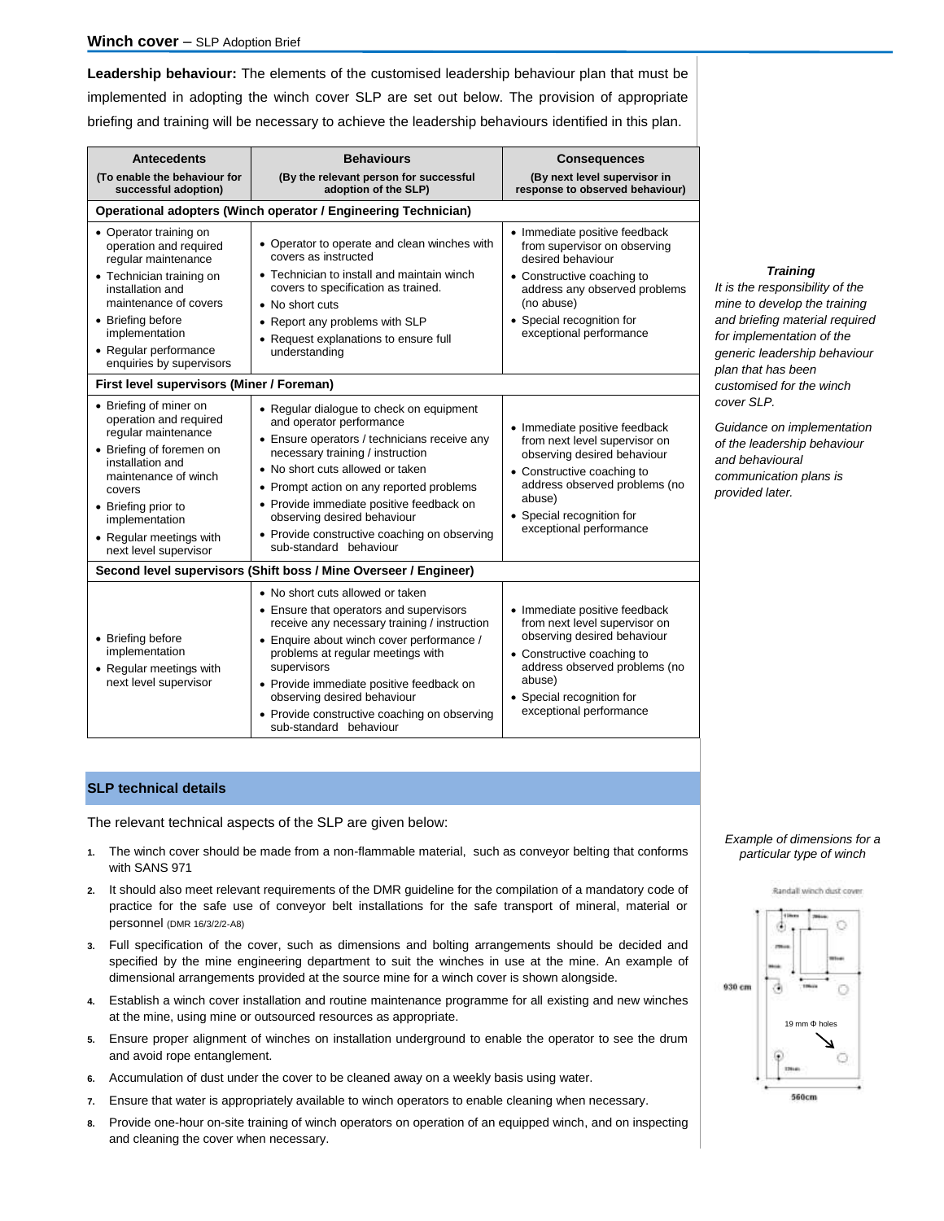**Leadership behaviour:** The elements of the customised leadership behaviour plan that must be implemented in adopting the winch cover SLP are set out below. The provision of appropriate briefing and training will be necessary to achieve the leadership behaviours identified in this plan.

| <b>Antecedents</b>                                                                                                                                                                                                                                     | <b>Behaviours</b>                                                                                                                                                                                                                                                                                                                                                                             | <b>Consequences</b>                                                                                                                                                                                                            |  |  |  |  |
|--------------------------------------------------------------------------------------------------------------------------------------------------------------------------------------------------------------------------------------------------------|-----------------------------------------------------------------------------------------------------------------------------------------------------------------------------------------------------------------------------------------------------------------------------------------------------------------------------------------------------------------------------------------------|--------------------------------------------------------------------------------------------------------------------------------------------------------------------------------------------------------------------------------|--|--|--|--|
| (To enable the behaviour for<br>successful adoption)                                                                                                                                                                                                   | (By the relevant person for successful<br>adoption of the SLP)                                                                                                                                                                                                                                                                                                                                | (By next level supervisor in<br>response to observed behaviour)                                                                                                                                                                |  |  |  |  |
| Operational adopters (Winch operator / Engineering Technician)                                                                                                                                                                                         |                                                                                                                                                                                                                                                                                                                                                                                               |                                                                                                                                                                                                                                |  |  |  |  |
| • Operator training on<br>operation and required<br>regular maintenance<br>• Technician training on<br>installation and<br>maintenance of covers<br>• Briefing before<br>implementation<br>• Regular performance<br>enquiries by supervisors           | • Operator to operate and clean winches with<br>covers as instructed<br>• Technician to install and maintain winch<br>covers to specification as trained.<br>• No short cuts<br>• Report any problems with SLP<br>• Request explanations to ensure full<br>understanding                                                                                                                      | • Immediate positive feedback<br>from supervisor on observing<br>desired behaviour<br>• Constructive coaching to<br>address any observed problems<br>(no abuse)<br>• Special recognition for<br>exceptional performance        |  |  |  |  |
| First level supervisors (Miner / Foreman)                                                                                                                                                                                                              |                                                                                                                                                                                                                                                                                                                                                                                               |                                                                                                                                                                                                                                |  |  |  |  |
| • Briefing of miner on<br>operation and required<br>regular maintenance<br>• Briefing of foremen on<br>installation and<br>maintenance of winch<br>covers<br>• Briefing prior to<br>implementation<br>• Regular meetings with<br>next level supervisor | • Regular dialogue to check on equipment<br>and operator performance<br>• Ensure operators / technicians receive any<br>necessary training / instruction<br>• No short cuts allowed or taken<br>• Prompt action on any reported problems<br>• Provide immediate positive feedback on<br>observing desired behaviour<br>• Provide constructive coaching on observing<br>sub-standard behaviour | • Immediate positive feedback<br>from next level supervisor on<br>observing desired behaviour<br>• Constructive coaching to<br>address observed problems (no<br>abuse)<br>• Special recognition for<br>exceptional performance |  |  |  |  |
|                                                                                                                                                                                                                                                        | Second level supervisors (Shift boss / Mine Overseer / Engineer)                                                                                                                                                                                                                                                                                                                              |                                                                                                                                                                                                                                |  |  |  |  |
| • Briefing before<br>implementation<br>• Regular meetings with<br>next level supervisor                                                                                                                                                                | • No short cuts allowed or taken<br>• Ensure that operators and supervisors<br>receive any necessary training / instruction<br>• Enquire about winch cover performance /<br>problems at regular meetings with<br>supervisors<br>• Provide immediate positive feedback on<br>observing desired behaviour<br>• Provide constructive coaching on observing<br>sub-standard behaviour             | • Immediate positive feedback<br>from next level supervisor on<br>observing desired behaviour<br>• Constructive coaching to<br>address observed problems (no<br>abuse)<br>• Special recognition for<br>exceptional performance |  |  |  |  |

# **SLP technical details**

The relevant technical aspects of the SLP are given below:

- **1.** The winch cover should be made from a non-flammable material, such as conveyor belting that conforms with SANS 971
- **2.** It should also meet relevant requirements of the DMR guideline for the compilation of a mandatory code of practice for the safe use of conveyor belt installations for the safe transport of mineral, material or personnel (DMR 16/3/2/2-A8)
- **3.** Full specification of the cover, such as dimensions and bolting arrangements should be decided and specified by the mine engineering department to suit the winches in use at the mine. An example of dimensional arrangements provided at the source mine for a winch cover is shown alongside.
- **4.** Establish a winch cover installation and routine maintenance programme for all existing and new winches at the mine, using mine or outsourced resources as appropriate.
- **5.** Ensure proper alignment of winches on installation underground to enable the operator to see the drum and avoid rope entanglement.
- **6.** Accumulation of dust under the cover to be cleaned away on a weekly basis using water.
- **7.** Ensure that water is appropriately available to winch operators to enable cleaning when necessary.
- **8.** Provide one-hour on-site training of winch operators on operation of an equipped winch, and on inspecting and cleaning the cover when necessary.

## *Training*

*It is the responsibility of the mine to develop the training and briefing material required for implementation of the generic leadership behaviour plan that has been customised for the winch cover SLP.* 

*Guidance on implementation of the leadership behaviour and behavioural communication plans is provided later.* 

## *Example of dimensions for a particular type of winch*



560cm